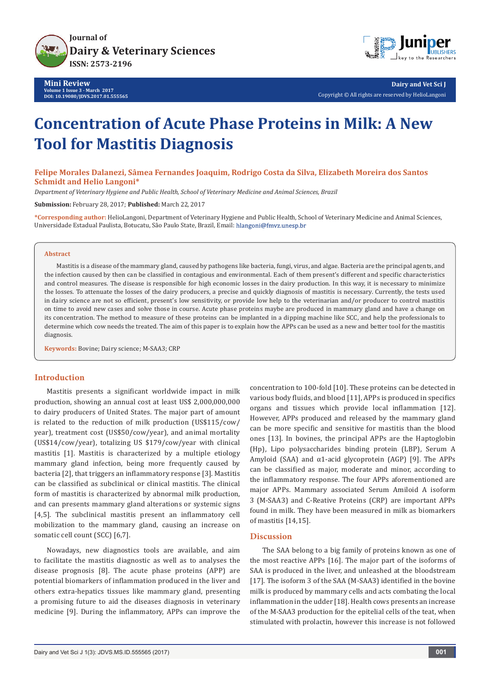



**Dairy and Vet Sci J** Copyright © All rights are reserved by HelioLangoni

# **Concentration of Acute Phase Proteins in Milk: A New Tool for Mastitis Diagnosis**

**Felipe Morales Dalanezi, Sâmea Fernandes Joaquim, Rodrigo Costa da Silva, Elizabeth Moreira dos Santos Schmidt and Helio Langoni\***

*Department of Veterinary Hygiene and Public Health, School of Veterinary Medicine and Animal Sciences, Brazil*

**Submission:** February 28, 2017; **Published:** March 22, 2017

**\*Corresponding author:** HelioLangoni, Department of Veterinary Hygiene and Public Health, School of Veterinary Medicine and Animal Sciences, Universidade Estadual Paulista, Botucatu, São Paulo State, Brazil, Email:

#### **Abstract**

Mastitis is a disease of the mammary gland, caused by pathogens like bacteria, fungi, virus, and algae. Bacteria are the principal agents, and the infection caused by then can be classified in contagious and environmental. Each of them present's different and specific characteristics and control measures. The disease is responsible for high economic losses in the dairy production. In this way, it is necessary to minimize the losses. To attenuate the losses of the dairy producers, a precise and quickly diagnosis of mastitis is necessary. Currently, the tests used in dairy science are not so efficient, present's low sensitivity, or provide low help to the veterinarian and/or producer to control mastitis on time to avoid new cases and solve those in course. Acute phase proteins maybe are produced in mammary gland and have a change on its concentration. The method to measure of these proteins can be implanted in a dipping machine like SCC, and help the professionals to determine which cow needs the treated. The aim of this paper is to explain how the APPs can be used as a new and better tool for the mastitis diagnosis.

**Keywords:** Bovine; Dairy science; M-SAA3; CRP

## **Introduction**

Mastitis presents a significant worldwide impact in milk production, showing an annual cost at least US\$ 2,000,000,000 to dairy producers of United States. The major part of amount is related to the reduction of milk production (US\$115/cow/ year), treatment cost (US\$50/cow/year), and animal mortality (US\$14/cow/year), totalizing US \$179/cow/year with clinical mastitis [1]. Mastitis is characterized by a multiple etiology mammary gland infection, being more frequently caused by bacteria [2], that triggers an inflammatory response [3]. Mastitis can be classified as subclinical or clinical mastitis. The clinical form of mastitis is characterized by abnormal milk production, and can presents mammary gland alterations or systemic signs [4,5]. The subclinical mastitis present an inflammatory cell mobilization to the mammary gland, causing an increase on somatic cell count (SCC) [6,7].

Nowadays, new diagnostics tools are available, and aim to facilitate the mastitis diagnostic as well as to analyses the disease prognosis [8]. The acute phase proteins (APP) are potential biomarkers of inflammation produced in the liver and others extra-hepatics tissues like mammary gland, presenting a promising future to aid the diseases diagnosis in veterinary medicine [9]. During the inflammatory, APPs can improve the concentration to 100-fold [10]. These proteins can be detected in various body fluids, and blood [11], APPs is produced in specifics organs and tissues which provide local inflammation [12]. However, APPs produced and released by the mammary gland can be more specific and sensitive for mastitis than the blood ones [13]. In bovines, the principal APPs are the Haptoglobin (Hp), Lipo polysaccharides binding protein (LBP), Serum A Amyloid (SAA) and  $\alpha$ 1-acid glycoprotein (AGP) [9]. The APPs can be classified as major, moderate and minor, according to the inflammatory response. The four APPs aforementioned are major APPs. Mammary associated Serum Amiloid A isoform 3 (M-SAA3) and C-Reative Proteins (CRP) are important APPs found in milk. They have been measured in milk as biomarkers of mastitis [14,15].

## **Discussion**

The SAA belong to a big family of proteins known as one of the most reactive APPs [16]. The major part of the isoforms of SAA is produced in the liver, and unleashed at the bloodstream [17]. The isoform 3 of the SAA (M-SAA3) identified in the bovine milk is produced by mammary cells and acts combating the local inflammation in the udder [18]. Health cows presents an increase of the M-SAA3 production for the epitelial cells of the teat, when stimulated with prolactin, however this increase is not followed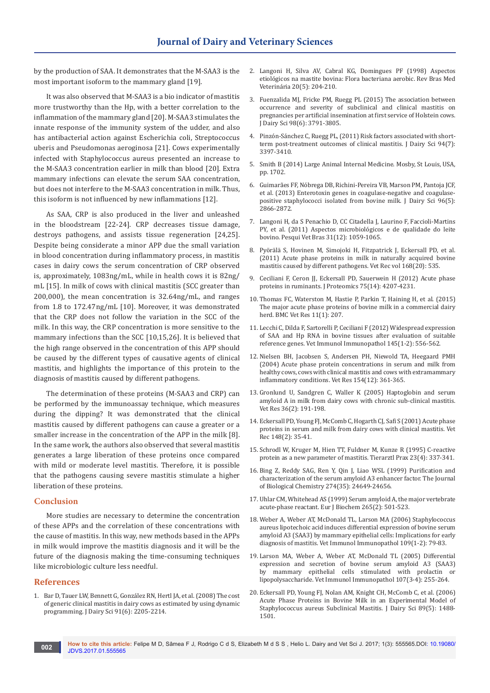by the production of SAA. It demonstrates that the M-SAA3 is the most important isoform to the mammary gland [19].

It was also observed that M-SAA3 is a bio indicator of mastitis more trustworthy than the Hp, with a better correlation to the inflammation of the mammary gland [20]. M-SAA3 stimulates the innate response of the immunity system of the udder, and also has antibacterial action against Escherichia coli, Streptococcus uberis and Pseudomonas aeroginosa [21]. Cows experimentally infected with Staphylococcus aureus presented an increase to the M-SAA3 concentration earlier in milk than blood [20]. Extra mammary infections can elevate the serum SAA concentration, but does not interfere to the M-SAA3 concentration in milk. Thus, this isoform is not influenced by new inflammations [12].

As SAA, CRP is also produced in the liver and unleashed in the bloodstream [22-24]. CRP decreases tissue damage, destroys pathogens, and assists tissue regeneration [24,25]. Despite being considerate a minor APP due the small variation in blood concentration during inflammatory process, in mastitis cases in dairy cows the serum concentration of CRP observed is, approximately, 1083ng/mL, while in health cows it is 82ng/ mL [15]. In milk of cows with clinical mastitis (SCC greater than 200,000), the mean concentration is 32.64ng/mL, and ranges from 1.8 to 172.47ng/mL [10]. Moreover, it was demonstrated that the CRP does not follow the variation in the SCC of the milk. In this way, the CRP concentration is more sensitive to the mammary infections than the SCC [10,15,26]. It is believed that the high range observed in the concentration of this APP should be caused by the different types of causative agents of clinical mastitis, and highlights the importance of this protein to the diagnosis of mastitis caused by different pathogens.

The determination of these proteins (M-SAA3 and CRP) can be performed by the immunoassay technique, which measures during the dipping? It was demonstrated that the clinical mastitis caused by different pathogens can cause a greater or a smaller increase in the concentration of the APP in the milk [8]. In the same work, the authors also observed that several mastitis generates a large liberation of these proteins once compared with mild or moderate level mastitis. Therefore, it is possible that the pathogens causing severe mastitis stimulate a higher liberation of these proteins.

#### **Conclusion**

More studies are necessary to determine the concentration of these APPs and the correlation of these concentrations with the cause of mastitis. In this way, new methods based in the APPs in milk would improve the mastitis diagnosis and it will be the future of the diagnosis making the time-consuming techniques like microbiologic culture less needful.

#### **References**

1. [Bar D, Tauer LW, Bennett G, González RN, Hertl JA, et al. \(2008\) The cost](https://www.ncbi.nlm.nih.gov/pubmed/18487643)  [of generic clinical mastitis in dairy cows as estimated by using dynamic](https://www.ncbi.nlm.nih.gov/pubmed/18487643)  [programming. J Dairy Sci 91\(6\): 2205-2214.](https://www.ncbi.nlm.nih.gov/pubmed/18487643)

- 2. Langoni H, Silva AV, Cabral KG, Domingues PF (1998) Aspectos etiológicos na mastite bovina: Flora bacteriana aerobic. Rev Bras Med Veterinária 20(5): 204-210.
- 3. [Fuenzalida MJ, Fricke PM, Ruegg PL \(2015\) The association between](https://www.ncbi.nlm.nih.gov/pubmed/25795486)  [occurrence and severity of subclinical and clinical mastitis on](https://www.ncbi.nlm.nih.gov/pubmed/25795486)  [pregnancies per artificial insemination at first service of Holstein cows.](https://www.ncbi.nlm.nih.gov/pubmed/25795486)  [J Dairy Sci 98\(6\): 3791-3805.](https://www.ncbi.nlm.nih.gov/pubmed/25795486)
- 4. [Pinzón-Sánchez C, Ruegg PL, \(2011\) Risk factors associated with short](https://www.ncbi.nlm.nih.gov/pubmed/21700025)[term post-treatment outcomes of clinical mastitis. J Dairy Sci 94\(7\):](https://www.ncbi.nlm.nih.gov/pubmed/21700025)  [3397-3410.](https://www.ncbi.nlm.nih.gov/pubmed/21700025)
- 5. Smith B (2014) Large Animal Internal Medicine. Mosby, St Louis, USA, pp. 1702.
- 6. [Guimarães FF, Nóbrega DB, Richini-Pereira VB, Marson PM, Pantoja JCF,](https://www.ncbi.nlm.nih.gov/pubmed/23477822)  [et al. \(2013\) Enterotoxin genes in coagulase-negative and coagulase](https://www.ncbi.nlm.nih.gov/pubmed/23477822)[positive staphylococci isolated from bovine milk. J Dairy Sci 96\(5\):](https://www.ncbi.nlm.nih.gov/pubmed/23477822)  [2866-2872.](https://www.ncbi.nlm.nih.gov/pubmed/23477822)
- 7. [Langoni H, da S Penachio D, CC Citadella J, Laurino F, Faccioli-Martins](http://www.scielo.br/scielo.php?script=sci_arttext&pid=S0100-736X2011001200004)  [PY, et al. \(2011\) Aspectos microbiológicos e de qualidade do leite](http://www.scielo.br/scielo.php?script=sci_arttext&pid=S0100-736X2011001200004)  [bovino. Pesqui Vet Bras 31\(12\): 1059-1065.](http://www.scielo.br/scielo.php?script=sci_arttext&pid=S0100-736X2011001200004)
- 8. [Pyörälä S, Hovinen M, Simojoki H, Fitzpatrick J, Eckersall PD, et al.](http://veterinaryrecord.bmj.com/content/168/20/535)  [\(2011\) Acute phase proteins in milk in naturally acquired bovine](http://veterinaryrecord.bmj.com/content/168/20/535)  [mastitis caused by different pathogens. Vet Rec vol 168\(20\): 535.](http://veterinaryrecord.bmj.com/content/168/20/535)
- 9. [Ceciliani F, Ceron JJ, Eckersall PD, Sauerwein H \(2012\) Acute phase](https://www.ncbi.nlm.nih.gov/pubmed/22521269)  [proteins in ruminants. J Proteomics 75\(14\): 4207-4231.](https://www.ncbi.nlm.nih.gov/pubmed/22521269)
- 10. [Thomas FC, Waterston M, Hastie P, Parkin T, Haining H, et al. \(2015\)](http://bmcvetres.biomedcentral.com/articles/10.1186/s12917-015-0533-3)  [The major acute phase proteins of bovine milk in a commercial dairy](http://bmcvetres.biomedcentral.com/articles/10.1186/s12917-015-0533-3)  [herd. BMC Vet Res 11\(1\): 207.](http://bmcvetres.biomedcentral.com/articles/10.1186/s12917-015-0533-3)
- 11. [Lecchi C, Dilda F, Sartorelli P, Ceciliani F \(2012\) Widespread expression](https://www.ncbi.nlm.nih.gov/pubmed/22230385)  [of SAA and Hp RNA in bovine tissues after evaluation of suitable](https://www.ncbi.nlm.nih.gov/pubmed/22230385)  [reference genes. Vet Immunol Immunopathol 145\(1-2\): 556-562.](https://www.ncbi.nlm.nih.gov/pubmed/22230385)
- 12. [Nielsen BH, Jacobsen S, Andersen PH, Niewold TA, Heegaard PMH](https://www.ncbi.nlm.nih.gov/labs/articles/15074326/)  [\(2004\) Acute phase protein concentrations in serum and milk from](https://www.ncbi.nlm.nih.gov/labs/articles/15074326/)  [healthy cows, cows with clinical mastitis and cows with extramammary](https://www.ncbi.nlm.nih.gov/labs/articles/15074326/)  [inflammatory conditions. Vet Res 154\(12\): 361-365.](https://www.ncbi.nlm.nih.gov/labs/articles/15074326/)
- 13. [Gronlund U, Sandgren C, Waller K \(2005\) Haptoglobin and serum](https://www.ncbi.nlm.nih.gov/labs/articles/15720972/)  [amyloid A in milk from dairy cows with chronic sub-clinical mastitis.](https://www.ncbi.nlm.nih.gov/labs/articles/15720972/)  [Vet Res 36\(2\): 191-198.](https://www.ncbi.nlm.nih.gov/labs/articles/15720972/)
- 14. [Eckersall PD, Young FJ, McComb C, Hogarth CJ, Safi S \(2001\) Acute phase](https://www.ncbi.nlm.nih.gov/pubmed/11202551)  [proteins in serum and milk from dairy cows with clinical mastitis. Vet](https://www.ncbi.nlm.nih.gov/pubmed/11202551)  [Rec 148\(2\): 35-41.](https://www.ncbi.nlm.nih.gov/pubmed/11202551)
- 15. [Schrodl W, Kruger M, Hien TT, Fuldner M, Kunze R \(1995\) C-reactive](https://www.ncbi.nlm.nih.gov/pubmed/8578564)  [protein as a new parameter of mastitis. Tierarztl Prax 23\(4\): 337-341.](https://www.ncbi.nlm.nih.gov/pubmed/8578564)
- 16. [Bing Z, Reddy SAG, Ren Y, Qin J, Liao WSL \(1999\) Purification and](http://www.jbc.org/content/274/35/24649.full)  [characterization of the serum amyloid A3 enhancer factor. The Journal](http://www.jbc.org/content/274/35/24649.full)  [of Biological Chemistry 274\(35\): 24649-24656.](http://www.jbc.org/content/274/35/24649.full)
- 17. [Uhlar CM, Whitehead AS \(1999\) Serum amyloid A, the major vertebrate](https://www.ncbi.nlm.nih.gov/pubmed/10504381)  [acute-phase reactant. Eur J Biochem 265\(2\): 501-523.](https://www.ncbi.nlm.nih.gov/pubmed/10504381)
- 18. [Weber A, Weber AT, McDonald TL, Larson MA \(2006\) Staphylococcus](https://www.ncbi.nlm.nih.gov/pubmed/16139367)  [aureus lipotechoic acid induces differential expression of bovine serum](https://www.ncbi.nlm.nih.gov/pubmed/16139367)  [amyloid A3 \(SAA3\) by mammary epithelial cells: Implications for early](https://www.ncbi.nlm.nih.gov/pubmed/16139367)  [diagnosis of mastitis. Vet Immunol Immunopathol 109\(1-2\): 79-83.](https://www.ncbi.nlm.nih.gov/pubmed/16139367)
- 19. [Larson MA, Weber A, Weber AT, McDonald TL \(2005\) Differential](https://www.ncbi.nlm.nih.gov/pubmed/15996754)  [expression and secretion of bovine serum amyloid A3 \(SAA3\)](https://www.ncbi.nlm.nih.gov/pubmed/15996754)  [by mammary epithelial cells stimulated with prolactin or](https://www.ncbi.nlm.nih.gov/pubmed/15996754)  [lipopolysaccharide. Vet Immunol Immunopathol 107\(3-4\): 255-264.](https://www.ncbi.nlm.nih.gov/pubmed/15996754)
- 20. [Eckersall PD, Young FJ, Nolan AM, Knight CH, McComb C, et al. \(2006\)](https://www.ncbi.nlm.nih.gov/pubmed/16606719)  [Acute Phase Proteins in Bovine Milk in an Experimental Model of](https://www.ncbi.nlm.nih.gov/pubmed/16606719)  Staphylococcus aureus Subclinical Mastitis. I Dairy Sci 89(5): 1488-[1501.](https://www.ncbi.nlm.nih.gov/pubmed/16606719)